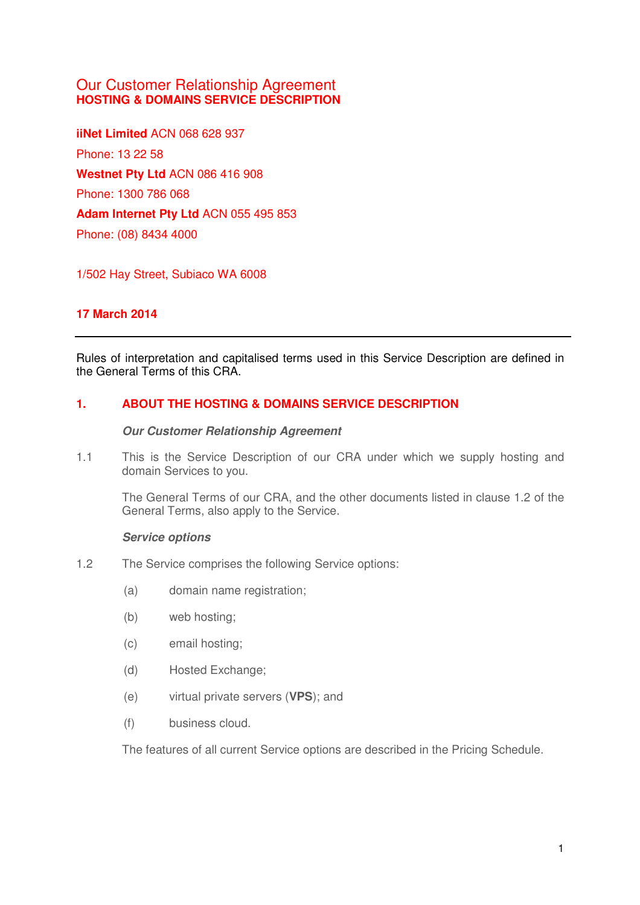# Our Customer Relationship Agreement **HOSTING & DOMAINS SERVICE DESCRIPTION**

**iiNet Limited** ACN 068 628 937 Phone: 13 22 58 **Westnet Pty Ltd** ACN 086 416 908 Phone: 1300 786 068 **Adam Internet Pty Ltd** ACN 055 495 853 Phone: (08) 8434 4000

1/502 Hay Street, Subiaco WA 6008

# **17 March 2014**

Rules of interpretation and capitalised terms used in this Service Description are defined in the General Terms of this CRA.

# **1. ABOUT THE HOSTING & DOMAINS SERVICE DESCRIPTION**

**Our Customer Relationship Agreement** 

1.1 This is the Service Description of our CRA under which we supply hosting and domain Services to you.

The General Terms of our CRA, and the other documents listed in clause 1.2 of the General Terms, also apply to the Service.

## **Service options**

- 1.2 The Service comprises the following Service options:
	- (a) domain name registration;
	- (b) web hosting;
	- (c) email hosting;
	- (d) Hosted Exchange;
	- (e) virtual private servers (**VPS**); and
	- (f) business cloud.

The features of all current Service options are described in the Pricing Schedule.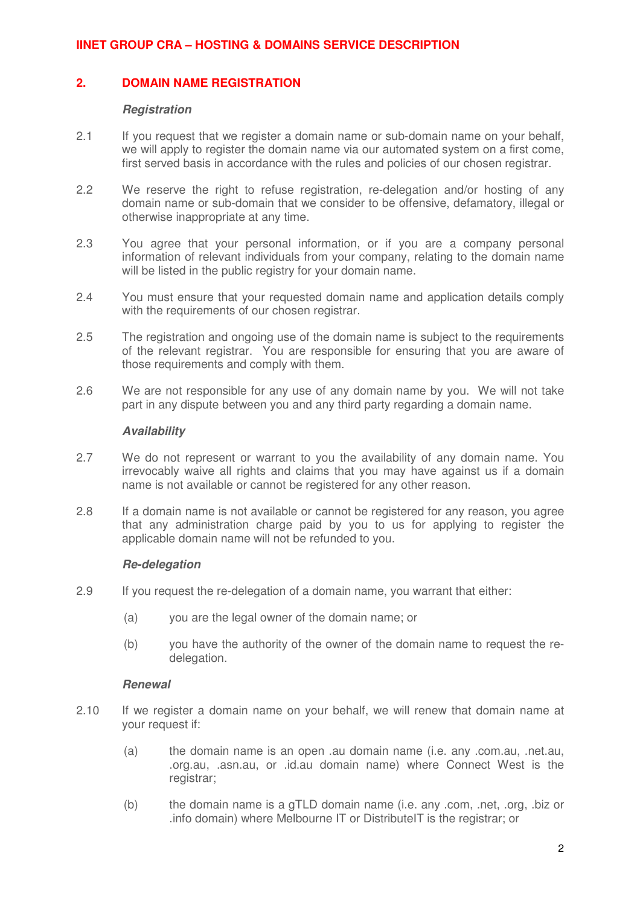## <span id="page-1-0"></span>**2. DOMAIN NAME REGISTRATION**

#### **Registration**

- 2.1 If you request that we register a domain name or sub-domain name on your behalf, we will apply to register the domain name via our automated system on a first come, first served basis in accordance with the rules and policies of our chosen registrar.
- 2.2 We reserve the right to refuse registration, re-delegation and/or hosting of any domain name or sub-domain that we consider to be offensive, defamatory, illegal or otherwise inappropriate at any time.
- 2.3 You agree that your personal information, or if you are a company personal information of relevant individuals from your company, relating to the domain name will be listed in the public registry for your domain name.
- 2.4 You must ensure that your requested domain name and application details comply with the requirements of our chosen registrar.
- 2.5 The registration and ongoing use of the domain name is subject to the requirements of the relevant registrar. You are responsible for ensuring that you are aware of those requirements and comply with them.
- 2.6 We are not responsible for any use of any domain name by you. We will not take part in any dispute between you and any third party regarding a domain name.

## **Availability**

- 2.7 We do not represent or warrant to you the availability of any domain name. You irrevocably waive all rights and claims that you may have against us if a domain name is not available or cannot be registered for any other reason.
- 2.8 If a domain name is not available or cannot be registered for any reason, you agree that any administration charge paid by you to us for applying to register the applicable domain name will not be refunded to you.

## **Re-delegation**

- 2.9 If you request the re-delegation of a domain name, you warrant that either:
	- (a) you are the legal owner of the domain name; or
	- (b) you have the authority of the owner of the domain name to request the redelegation.

#### **Renewal**

- 2.10 If we register a domain name on your behalf, we will renew that domain name at your request if:
	- (a) the domain name is an open .au domain name (i.e. any .com.au, .net.au, .org.au, .asn.au, or .id.au domain name) where Connect West is the registrar;
	- (b) the domain name is a gTLD domain name (i.e. any .com, .net, .org, .biz or .info domain) where Melbourne IT or DistributeIT is the registrar; or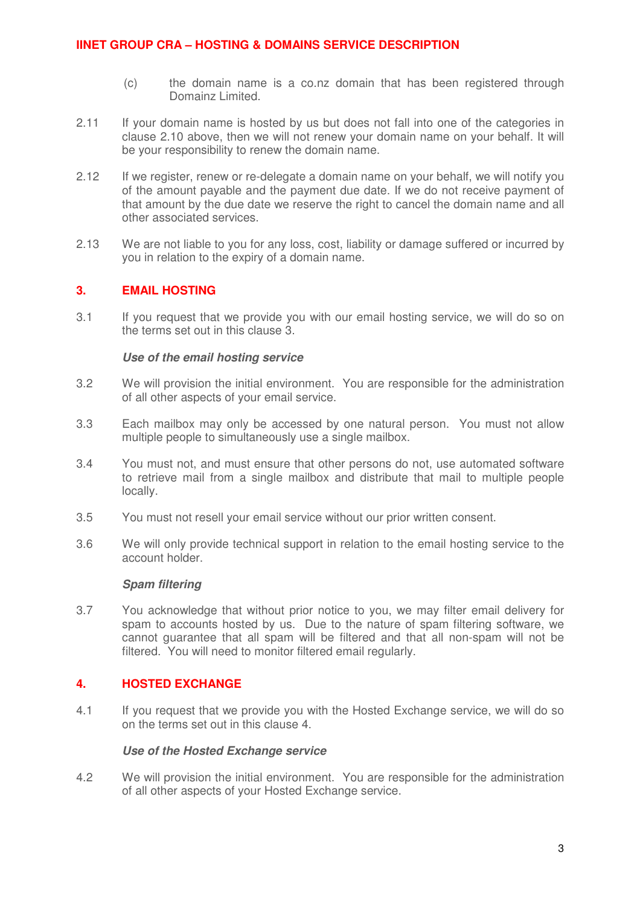- (c) the domain name is a co.nz domain that has been registered through Domainz Limited.
- 2.11 If your domain name is hosted by us but does not fall into one of the categories in clause [2.10](#page-1-0) above, then we will not renew your domain name on your behalf. It will be your responsibility to renew the domain name.
- 2.12 If we register, renew or re-delegate a domain name on your behalf, we will notify you of the amount payable and the payment due date. If we do not receive payment of that amount by the due date we reserve the right to cancel the domain name and all other associated services.
- 2.13 We are not liable to you for any loss, cost, liability or damage suffered or incurred by you in relation to the expiry of a domain name.

## **3. EMAIL HOSTING**

3.1 If you request that we provide you with our email hosting service, we will do so on the terms set out in this clause 3.

# **Use of the email hosting service**

- 3.2 We will provision the initial environment. You are responsible for the administration of all other aspects of your email service.
- 3.3 Each mailbox may only be accessed by one natural person. You must not allow multiple people to simultaneously use a single mailbox.
- 3.4 You must not, and must ensure that other persons do not, use automated software to retrieve mail from a single mailbox and distribute that mail to multiple people locally.
- 3.5 You must not resell your email service without our prior written consent.
- 3.6 We will only provide technical support in relation to the email hosting service to the account holder.

#### **Spam filtering**

3.7 You acknowledge that without prior notice to you, we may filter email delivery for spam to accounts hosted by us. Due to the nature of spam filtering software, we cannot guarantee that all spam will be filtered and that all non-spam will not be filtered. You will need to monitor filtered email regularly.

## **4. HOSTED EXCHANGE**

4.1 If you request that we provide you with the Hosted Exchange service, we will do so on the terms set out in this clause 4.

#### **Use of the Hosted Exchange service**

4.2 We will provision the initial environment. You are responsible for the administration of all other aspects of your Hosted Exchange service.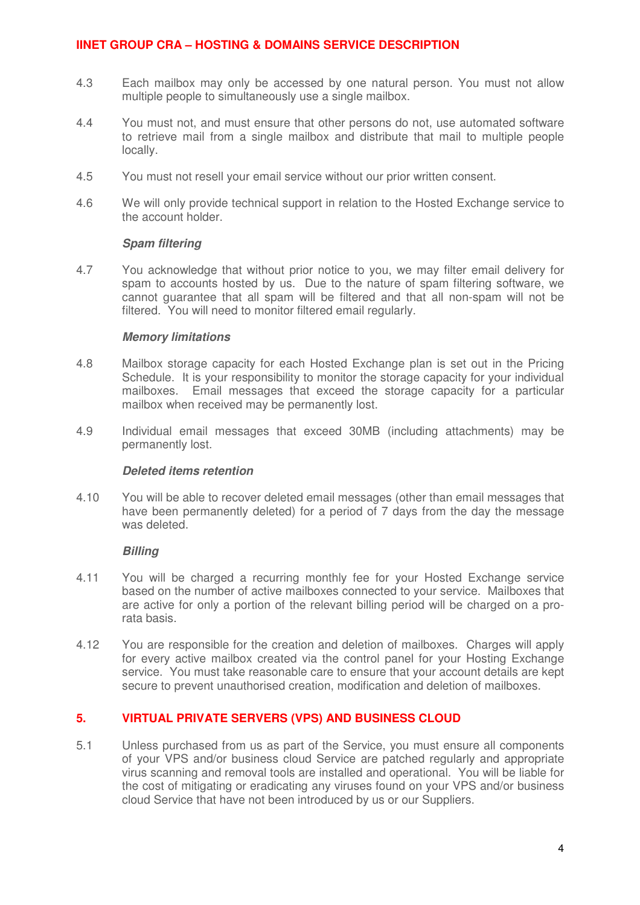- 4.3 Each mailbox may only be accessed by one natural person. You must not allow multiple people to simultaneously use a single mailbox.
- 4.4 You must not, and must ensure that other persons do not, use automated software to retrieve mail from a single mailbox and distribute that mail to multiple people locally.
- 4.5 You must not resell your email service without our prior written consent.
- 4.6 We will only provide technical support in relation to the Hosted Exchange service to the account holder.

### **Spam filtering**

4.7 You acknowledge that without prior notice to you, we may filter email delivery for spam to accounts hosted by us. Due to the nature of spam filtering software, we cannot guarantee that all spam will be filtered and that all non-spam will not be filtered. You will need to monitor filtered email regularly.

### **Memory limitations**

- 4.8 Mailbox storage capacity for each Hosted Exchange plan is set out in the Pricing Schedule. It is your responsibility to monitor the storage capacity for your individual mailboxes. Email messages that exceed the storage capacity for a particular mailbox when received may be permanently lost.
- 4.9 Individual email messages that exceed 30MB (including attachments) may be permanently lost.

#### **Deleted items retention**

4.10 You will be able to recover deleted email messages (other than email messages that have been permanently deleted) for a period of 7 days from the day the message was deleted.

## **Billing**

- 4.11 You will be charged a recurring monthly fee for your Hosted Exchange service based on the number of active mailboxes connected to your service. Mailboxes that are active for only a portion of the relevant billing period will be charged on a prorata basis.
- 4.12 You are responsible for the creation and deletion of mailboxes. Charges will apply for every active mailbox created via the control panel for your Hosting Exchange service. You must take reasonable care to ensure that your account details are kept secure to prevent unauthorised creation, modification and deletion of mailboxes.

## **5. VIRTUAL PRIVATE SERVERS (VPS) AND BUSINESS CLOUD**

5.1 Unless purchased from us as part of the Service, you must ensure all components of your VPS and/or business cloud Service are patched regularly and appropriate virus scanning and removal tools are installed and operational. You will be liable for the cost of mitigating or eradicating any viruses found on your VPS and/or business cloud Service that have not been introduced by us or our Suppliers.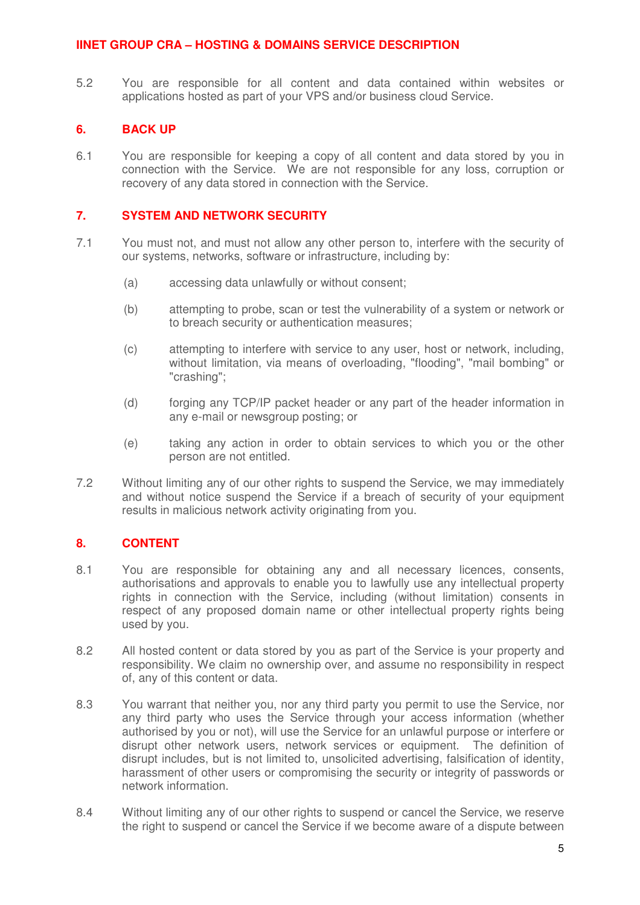5.2 You are responsible for all content and data contained within websites or applications hosted as part of your VPS and/or business cloud Service.

## **6. BACK UP**

6.1 You are responsible for keeping a copy of all content and data stored by you in connection with the Service. We are not responsible for any loss, corruption or recovery of any data stored in connection with the Service.

## **7. SYSTEM AND NETWORK SECURITY**

- 7.1 You must not, and must not allow any other person to, interfere with the security of our systems, networks, software or infrastructure, including by:
	- (a) accessing data unlawfully or without consent;
	- (b) attempting to probe, scan or test the vulnerability of a system or network or to breach security or authentication measures;
	- (c) attempting to interfere with service to any user, host or network, including, without limitation, via means of overloading, "flooding", "mail bombing" or "crashing";
	- (d) forging any TCP/IP packet header or any part of the header information in any e-mail or newsgroup posting; or
	- (e) taking any action in order to obtain services to which you or the other person are not entitled.
- 7.2 Without limiting any of our other rights to suspend the Service, we may immediately and without notice suspend the Service if a breach of security of your equipment results in malicious network activity originating from you.

# **8. CONTENT**

- 8.1 You are responsible for obtaining any and all necessary licences, consents, authorisations and approvals to enable you to lawfully use any intellectual property rights in connection with the Service, including (without limitation) consents in respect of any proposed domain name or other intellectual property rights being used by you.
- 8.2 All hosted content or data stored by you as part of the Service is your property and responsibility. We claim no ownership over, and assume no responsibility in respect of, any of this content or data.
- 8.3 You warrant that neither you, nor any third party you permit to use the Service, nor any third party who uses the Service through your access information (whether authorised by you or not), will use the Service for an unlawful purpose or interfere or disrupt other network users, network services or equipment. The definition of disrupt includes, but is not limited to, unsolicited advertising, falsification of identity, harassment of other users or compromising the security or integrity of passwords or network information.
- 8.4 Without limiting any of our other rights to suspend or cancel the Service, we reserve the right to suspend or cancel the Service if we become aware of a dispute between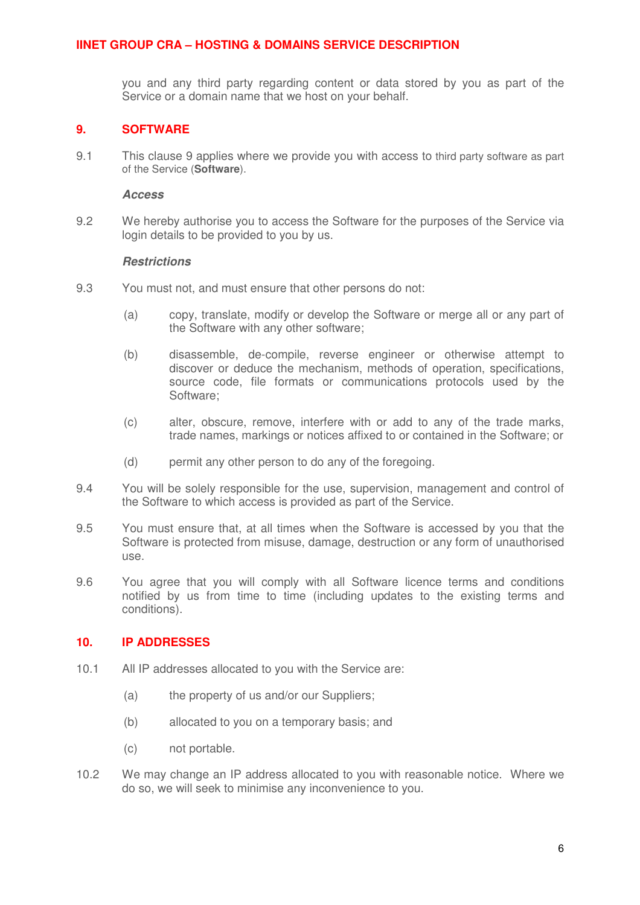you and any third party regarding content or data stored by you as part of the Service or a domain name that we host on your behalf.

### **9. SOFTWARE**

9.1 This clause 9 applies where we provide you with access to third party software as part of the Service (**Software**).

#### **Access**

9.2 We hereby authorise you to access the Software for the purposes of the Service via login details to be provided to you by us.

#### **Restrictions**

- 9.3 You must not, and must ensure that other persons do not:
	- (a) copy, translate, modify or develop the Software or merge all or any part of the Software with any other software;
	- (b) disassemble, de-compile, reverse engineer or otherwise attempt to discover or deduce the mechanism, methods of operation, specifications, source code, file formats or communications protocols used by the Software;
	- (c) alter, obscure, remove, interfere with or add to any of the trade marks, trade names, markings or notices affixed to or contained in the Software; or
	- (d) permit any other person to do any of the foregoing.
- 9.4 You will be solely responsible for the use, supervision, management and control of the Software to which access is provided as part of the Service.
- 9.5 You must ensure that, at all times when the Software is accessed by you that the Software is protected from misuse, damage, destruction or any form of unauthorised use.
- 9.6 You agree that you will comply with all Software licence terms and conditions notified by us from time to time (including updates to the existing terms and conditions).

## **10. IP ADDRESSES**

- 10.1 All IP addresses allocated to you with the Service are:
	- (a) the property of us and/or our Suppliers;
	- (b) allocated to you on a temporary basis; and
	- (c) not portable.
- 10.2 We may change an IP address allocated to you with reasonable notice. Where we do so, we will seek to minimise any inconvenience to you.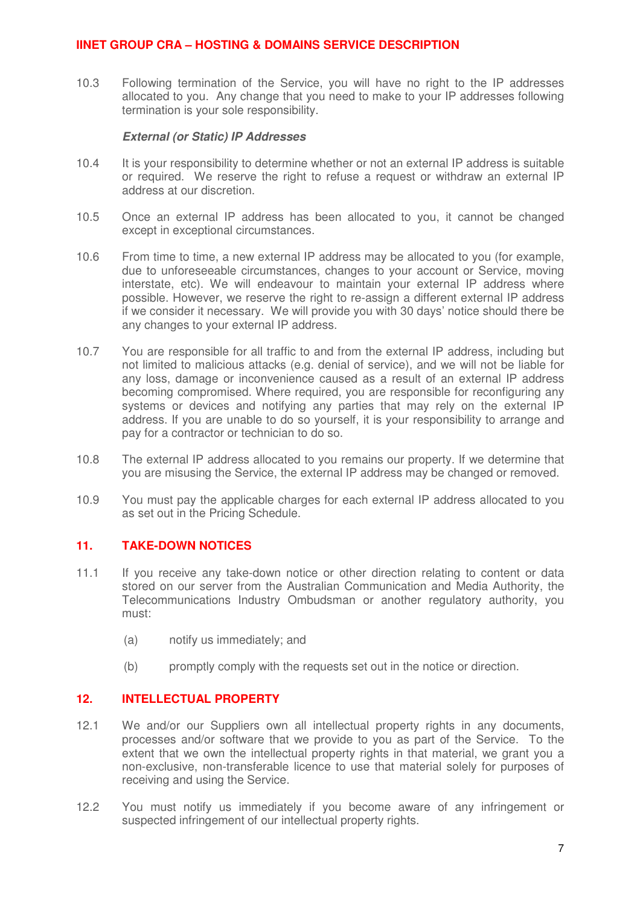10.3 Following termination of the Service, you will have no right to the IP addresses allocated to you. Any change that you need to make to your IP addresses following termination is your sole responsibility.

### **External (or Static) IP Addresses**

- 10.4 It is your responsibility to determine whether or not an external IP address is suitable or required. We reserve the right to refuse a request or withdraw an external IP address at our discretion.
- 10.5 Once an external IP address has been allocated to you, it cannot be changed except in exceptional circumstances.
- 10.6 From time to time, a new external IP address may be allocated to you (for example, due to unforeseeable circumstances, changes to your account or Service, moving interstate, etc). We will endeavour to maintain your external IP address where possible. However, we reserve the right to re-assign a different external IP address if we consider it necessary. We will provide you with 30 days' notice should there be any changes to your external IP address.
- 10.7 You are responsible for all traffic to and from the external IP address, including but not limited to malicious attacks (e.g. denial of service), and we will not be liable for any loss, damage or inconvenience caused as a result of an external IP address becoming compromised. Where required, you are responsible for reconfiguring any systems or devices and notifying any parties that may rely on the external IP address. If you are unable to do so yourself, it is your responsibility to arrange and pay for a contractor or technician to do so.
- 10.8 The external IP address allocated to you remains our property. If we determine that you are misusing the Service, the external IP address may be changed or removed.
- 10.9 You must pay the applicable charges for each external IP address allocated to you as set out in the Pricing Schedule.

## **11. TAKE-DOWN NOTICES**

- 11.1 If you receive any take-down notice or other direction relating to content or data stored on our server from the Australian Communication and Media Authority, the Telecommunications Industry Ombudsman or another regulatory authority, you must:
	- (a) notify us immediately; and
	- (b) promptly comply with the requests set out in the notice or direction.

## **12. INTELLECTUAL PROPERTY**

- 12.1 We and/or our Suppliers own all intellectual property rights in any documents, processes and/or software that we provide to you as part of the Service. To the extent that we own the intellectual property rights in that material, we grant you a non-exclusive, non-transferable licence to use that material solely for purposes of receiving and using the Service.
- 12.2 You must notify us immediately if you become aware of any infringement or suspected infringement of our intellectual property rights.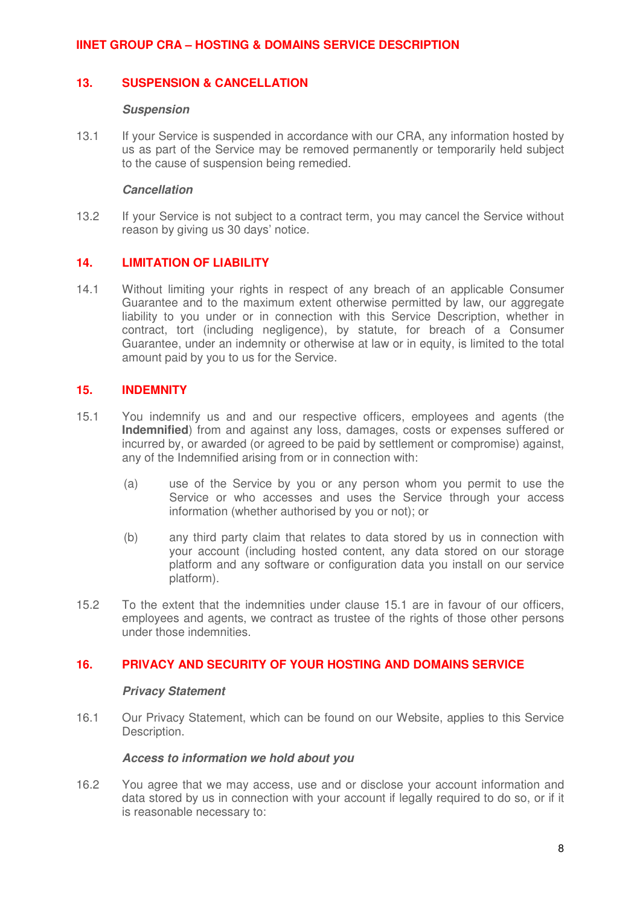### **13. SUSPENSION & CANCELLATION**

#### **Suspension**

13.1 If your Service is suspended in accordance with our CRA, any information hosted by us as part of the Service may be removed permanently or temporarily held subject to the cause of suspension being remedied.

#### **Cancellation**

13.2 If your Service is not subject to a contract term, you may cancel the Service without reason by giving us 30 days' notice.

### **14. LIMITATION OF LIABILITY**

14.1 Without limiting your rights in respect of any breach of an applicable Consumer Guarantee and to the maximum extent otherwise permitted by law, our aggregate liability to you under or in connection with this Service Description, whether in contract, tort (including negligence), by statute, for breach of a Consumer Guarantee, under an indemnity or otherwise at law or in equity, is limited to the total amount paid by you to us for the Service.

#### **15. INDEMNITY**

- 15.1 You indemnify us and and our respective officers, employees and agents (the **Indemnified**) from and against any loss, damages, costs or expenses suffered or incurred by, or awarded (or agreed to be paid by settlement or compromise) against, any of the Indemnified arising from or in connection with:
	- (a) use of the Service by you or any person whom you permit to use the Service or who accesses and uses the Service through your access information (whether authorised by you or not); or
	- (b) any third party claim that relates to data stored by us in connection with your account (including hosted content, any data stored on our storage platform and any software or configuration data you install on our service platform).
- 15.2 To the extent that the indemnities under clause 15.1 are in favour of our officers, employees and agents, we contract as trustee of the rights of those other persons under those indemnities.

## **16. PRIVACY AND SECURITY OF YOUR HOSTING AND DOMAINS SERVICE**

#### **Privacy Statement**

16.1 Our Privacy Statement, which can be found on our Website, applies to this Service Description.

### **Access to information we hold about you**

16.2 You agree that we may access, use and or disclose your account information and data stored by us in connection with your account if legally required to do so, or if it is reasonable necessary to: